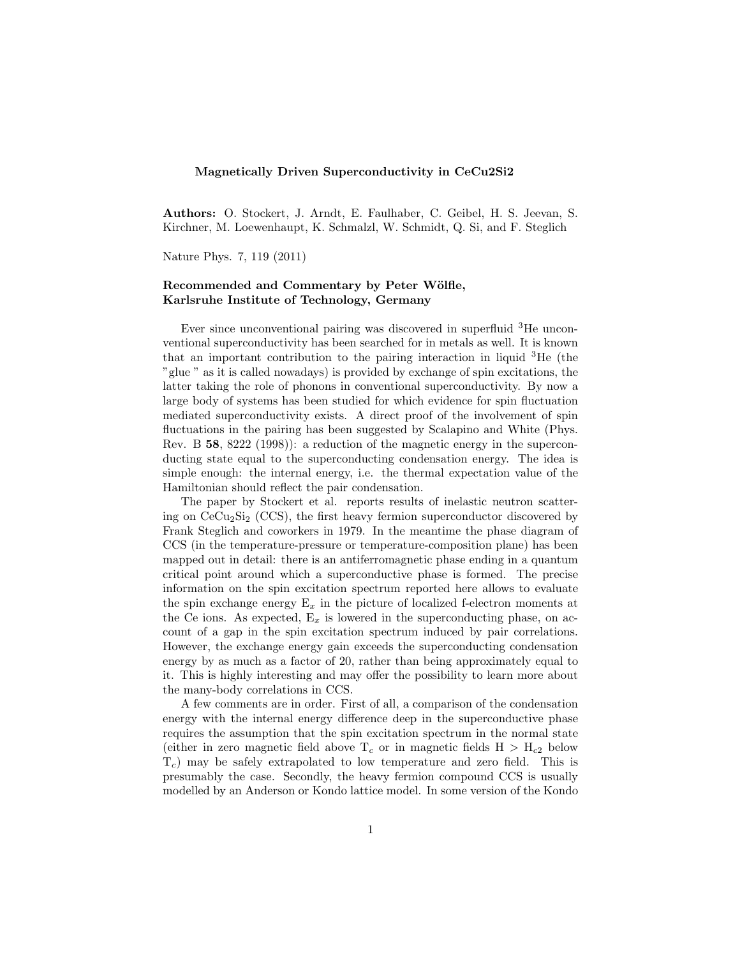## Magnetically Driven Superconductivity in CeCu2Si2

Authors: O. Stockert, J. Arndt, E. Faulhaber, C. Geibel, H. S. Jeevan, S. Kirchner, M. Loewenhaupt, K. Schmalzl, W. Schmidt, Q. Si, and F. Steglich

Nature Phys. 7, 119 (2011)

## Recommended and Commentary by Peter Wölfle, Karlsruhe Institute of Technology, Germany

Ever since unconventional pairing was discovered in superfluid <sup>3</sup>He unconventional superconductivity has been searched for in metals as well. It is known that an important contribution to the pairing interaction in liquid  ${}^{3}$ He (the "glue " as it is called nowadays) is provided by exchange of spin excitations, the latter taking the role of phonons in conventional superconductivity. By now a large body of systems has been studied for which evidence for spin fluctuation mediated superconductivity exists. A direct proof of the involvement of spin fluctuations in the pairing has been suggested by Scalapino and White (Phys. Rev. B 58, 8222 (1998)): a reduction of the magnetic energy in the superconducting state equal to the superconducting condensation energy. The idea is simple enough: the internal energy, i.e. the thermal expectation value of the Hamiltonian should reflect the pair condensation.

The paper by Stockert et al. reports results of inelastic neutron scattering on  $CeCu<sub>2</sub>Si<sub>2</sub>$  (CCS), the first heavy fermion superconductor discovered by Frank Steglich and coworkers in 1979. In the meantime the phase diagram of CCS (in the temperature-pressure or temperature-composition plane) has been mapped out in detail: there is an antiferromagnetic phase ending in a quantum critical point around which a superconductive phase is formed. The precise information on the spin excitation spectrum reported here allows to evaluate the spin exchange energy  $E_x$  in the picture of localized f-electron moments at the Ce ions. As expected,  $E_x$  is lowered in the superconducting phase, on account of a gap in the spin excitation spectrum induced by pair correlations. However, the exchange energy gain exceeds the superconducting condensation energy by as much as a factor of 20, rather than being approximately equal to it. This is highly interesting and may offer the possibility to learn more about the many-body correlations in CCS.

A few comments are in order. First of all, a comparison of the condensation energy with the internal energy difference deep in the superconductive phase requires the assumption that the spin excitation spectrum in the normal state (either in zero magnetic field above  $T_c$  or in magnetic fields  $H > H_{c2}$  below  $T_c$ ) may be safely extrapolated to low temperature and zero field. This is presumably the case. Secondly, the heavy fermion compound CCS is usually modelled by an Anderson or Kondo lattice model. In some version of the Kondo